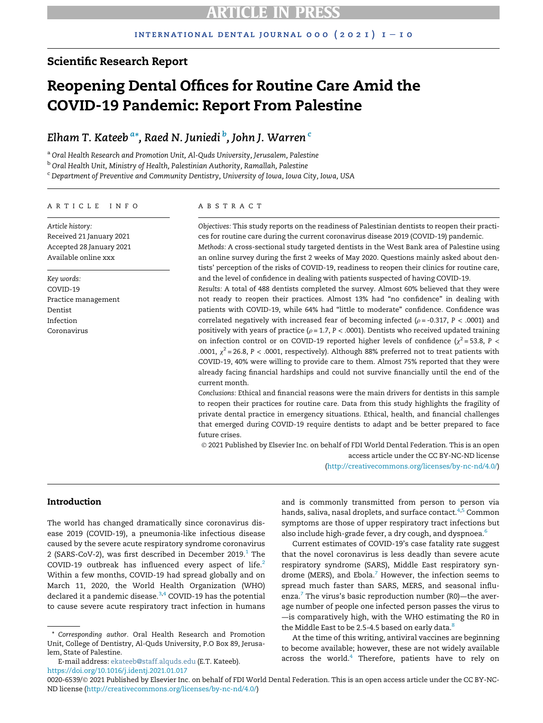### Scientific Research Report

# Reopening Dental Offices for Routine Care Amid the COVID-19 Pandemic: Report From Palestine

### Elh[a](#page-0-0)m T. Kateeb <sup>a</sup>[\\*](#page-0-1), Raed N. Juniedi <sup>[b](#page-0-2)</sup>, John J. Warren <sup>[c](#page-0-3)</sup>

<span id="page-0-0"></span><sup>a</sup> Oral Health Research and Promotion Unit, Al-Quds University, Jerusalem, Palestine

<span id="page-0-2"></span><sup>b</sup> Oral Health Unit, Ministry of Health, Palestinian Authority, Ramallah, Palestine

<span id="page-0-3"></span><sup>c</sup> Department of Preventive and Community Dentistry, University of Iowa, Iowa City, Iowa, USA

#### ARTICLE INFO

Article history: Received 21 January 2021 Accepted 28 January 2021 Available online xxx

Key words: COVID-19 Practice management Dentist Infection Coronavirus

#### ABSTRACT

Objectives: This study reports on the readiness of Palestinian dentists to reopen their practices for routine care during the current coronavirus disease 2019 (COVID-19) pandemic. Methods: A cross-sectional study targeted dentists in the West Bank area of Palestine using an online survey during the first 2 weeks of May 2020. Questions mainly asked about dentists' perception of the risks of COVID-19, readiness to reopen their clinics for routine care, and the level of confidence in dealing with patients suspected of having COVID-19.

Results: A total of 488 dentists completed the survey. Almost 60% believed that they were not ready to reopen their practices. Almost 13% had "no confidence" in dealing with patients with COVID-19, while 64% had "little to moderate" confidence. Confidence was correlated negatively with increased fear of becoming infected ( $\rho$  = -0.317, P < .0001) and positively with years of practice ( $\rho$  = 1.7, P < .0001). Dentists who received updated training on infection control or on COVID-19 reported higher levels of confidence ( $\chi^2$  = 53.8, P < .0001,  $\chi^2$  = 26.8, P < .0001, respectively). Although 88% preferred not to treat patients with COVID-19, 40% were willing to provide care to them. Almost 75% reported that they were already facing financial hardships and could not survive financially until the end of the current month.

Conclusions: Ethical and financial reasons were the main drivers for dentists in this sample to reopen their practices for routine care. Data from this study highlights the fragility of private dental practice in emergency situations. Ethical, health, and financial challenges that emerged during COVID-19 require dentists to adapt and be better prepared to face future crises.

 2021 Published by Elsevier Inc. on behalf of FDI World Dental Federation. This is an open access article under the CC BY-NC-ND license

[\(http://creativecommons.org/licenses/by-nc-nd/4.0/\)](http://creativecommons.org/licenses/by-nc-nd/4.0/)

### Introduction

The world has changed dramatically since coronavirus disease 2019 (COVID-19), a pneumonia-like infectious disease caused by the severe acute respiratory syndrome coronavirus 2 (SARS-CoV-2), was first described in December 20[1](#page-8-0)9. $^1$  The COVID-19 outbreak has influenced every aspect of life. $2$ Within a few months, COVID-19 had spread globally and on March 11, 2020, the World Health Organization (WHO) declared it a pandemic disease.<sup>[3](#page-8-2)[,4](#page-8-3)</sup> COVID-19 has the potential to cause severe acute respiratory tract infection in humans

<span id="page-0-1"></span>\* Corresponding author. Oral Health Research and Promotion Unit, College of Dentistry, Al-Quds University, P.O Box 89, Jerusalem, State of Palestine.

E-mail address: [ekateeb@staff.alquds.edu](mailto:ekateeb@staff.alquds.edu) (E.T. Kateeb). <https://doi.org/10.1016/j.identj.2021.01.017>

and is commonly transmitted from person to person via hands, saliva, nasal droplets, and surface contact.<sup>[4,](#page-8-3)[5](#page-8-4)</sup> Common symptoms are those of upper respiratory tract infections but also include high-grade fever, a dry cough, and dyspnoea.<sup>[6](#page-8-5)</sup>

Current estimates of COVID-19's case fatality rate suggest that the novel coronavirus is less deadly than severe acute respiratory syndrome (SARS), Middle East respiratory syn-drome (MERS), and Ebola.<sup>[7](#page-8-6)</sup> However, the infection seems to spread much faster than SARS, MERS, and seasonal influ-enza.<sup>[7](#page-8-6)</sup> The virus's basic reproduction number (R0)—the average number of people one infected person passes the virus to —is comparatively high, with the WHO estimating the R0 in the Middle East to be 2.5-4.5 based on early data.<sup>[8](#page-8-7)</sup>

At the time of this writing, antiviral vaccines are beginning to become available; however, these are not widely available across the world.<sup>[4](#page-8-3)</sup> Therefore, patients have to rely on

0020-6539/© 2021 Published by Elsevier Inc. on behalf of FDI World Dental Federation. This is an open access article under the CC BY-NC-ND license ([http://creativecommons.org/licenses/by-nc-nd/4.0/\)](http://creativecommons.org/licenses/by-nc-nd/4.0/)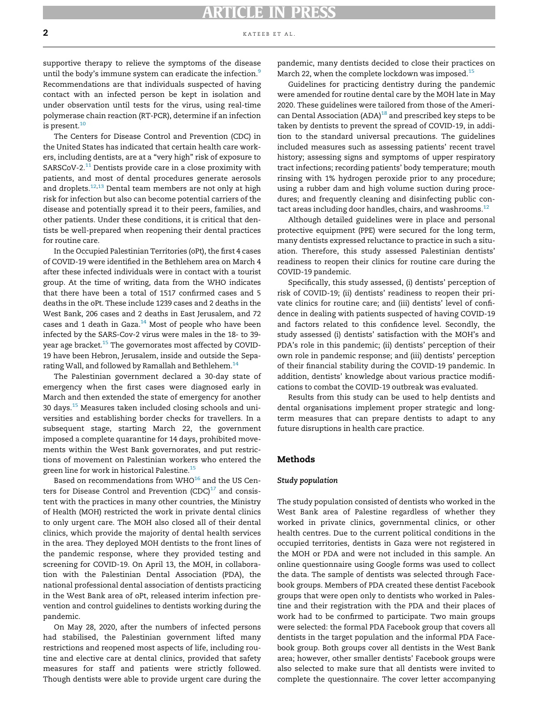#### **2** kategories  $\alpha$  kategories  $\alpha$ .

supportive therapy to relieve the symptoms of the disease until the body's immune system can eradicate the infection.<sup>[9](#page-8-8)</sup> Recommendations are that individuals suspected of having contact with an infected person be kept in isolation and under observation until tests for the virus, using real-time polymerase chain reaction (RT-PCR), determine if an infection is present.<sup>[10](#page-8-9)</sup>

The Centers for Disease Control and Prevention (CDC) in the United States has indicated that certain health care workers, including dentists, are at a "very high" risk of exposure to SARSCoV-2. $^{11}$  $^{11}$  $^{11}$  Dentists provide care in a close proximity with patients, and most of dental procedures generate aerosols and droplets. $12,13$  $12,13$  Dental team members are not only at high risk for infection but also can become potential carriers of the disease and potentially spread it to their peers, families, and other patients. Under these conditions, it is critical that dentists be well-prepared when reopening their dental practices for routine care.

In the Occupied Palestinian Territories (oPt), the first 4 cases of COVID-19 were identified in the Bethlehem area on March 4 after these infected individuals were in contact with a tourist group. At the time of writing, data from the WHO indicates that there have been a total of 1517 confirmed cases and 5 deaths in the oPt. These include 1239 cases and 2 deaths in the West Bank, 206 cases and 2 deaths in East Jerusalem, and 72 cases and 1 death in Gaza. $14$  Most of people who have been infected by the SARS-Cov-2 virus were males in the 18- to 39 year age bracket.<sup>15</sup> The governorates most affected by COVID-19 have been Hebron, Jerusalem, inside and outside the Separating Wall, and followed by Ramallah and Bethlehem.<sup>14</sup>

The Palestinian government declared a 30-day state of emergency when the first cases were diagnosed early in March and then extended the state of emergency for another 30 days.[15](#page-8-14) Measures taken included closing schools and universities and establishing border checks for travellers. In a subsequent stage, starting March 22, the government imposed a complete quarantine for 14 days, prohibited movements within the West Bank governorates, and put restrictions of movement on Palestinian workers who entered the green line for work in historical Palestine.<sup>[15](#page-8-14)</sup>

Based on recommendations from  $WHO^{16}$  and the US Centers for Disease Control and Prevention  $(CDC)^{17}$  $(CDC)^{17}$  $(CDC)^{17}$  and consistent with the practices in many other countries, the Ministry of Health (MOH) restricted the work in private dental clinics to only urgent care. The MOH also closed all of their dental clinics, which provide the majority of dental health services in the area. They deployed MOH dentists to the front lines of the pandemic response, where they provided testing and screening for COVID-19. On April 13, the MOH, in collaboration with the Palestinian Dental Association (PDA), the national professional dental association of dentists practicing in the West Bank area of oPt, released interim infection prevention and control guidelines to dentists working during the pandemic.

On May 28, 2020, after the numbers of infected persons had stabilised, the Palestinian government lifted many restrictions and reopened most aspects of life, including routine and elective care at dental clinics, provided that safety measures for staff and patients were strictly followed. Though dentists were able to provide urgent care during the pandemic, many dentists decided to close their practices on March 22, when the complete lockdown was imposed.<sup>[15](#page-8-14)</sup>

Guidelines for practicing dentistry during the pandemic were amended for routine dental care by the MOH late in May 2020. These guidelines were tailored from those of the American Dental Association (ADA) $^{18}$  and prescribed key steps to be taken by dentists to prevent the spread of COVID-19, in addition to the standard universal precautions. The guidelines included measures such as assessing patients' recent travel history; assessing signs and symptoms of upper respiratory tract infections; recording patients' body temperature; mouth rinsing with 1% hydrogen peroxide prior to any procedure; using a rubber dam and high volume suction during procedures; and frequently cleaning and disinfecting public con-tact areas including door handles, chairs, and washrooms.<sup>[12](#page-8-11)</sup>

Although detailed guidelines were in place and personal protective equipment (PPE) were secured for the long term, many dentists expressed reluctance to practice in such a situation. Therefore, this study assessed Palestinian dentists' readiness to reopen their clinics for routine care during the COVID-19 pandemic.

Specifically, this study assessed, (i) dentists' perception of risk of COVID-19; (ii) dentists' readiness to reopen their private clinics for routine care; and (iii) dentists' level of confidence in dealing with patients suspected of having COVID-19 and factors related to this confidence level. Secondly, the study assessed (i) dentists' satisfaction with the MOH's and PDA's role in this pandemic; (ii) dentists' perception of their own role in pandemic response; and (iii) dentists' perception of their financial stability during the COVID-19 pandemic. In addition, dentists' knowledge about various practice modifications to combat the COVID-19 outbreak was evaluated.

Results from this study can be used to help dentists and dental organisations implement proper strategic and longterm measures that can prepare dentists to adapt to any future disruptions in health care practice.

#### Methods

#### Study population

The study population consisted of dentists who worked in the West Bank area of Palestine regardless of whether they worked in private clinics, governmental clinics, or other health centres. Due to the current political conditions in the occupied territories, dentists in Gaza were not registered in the MOH or PDA and were not included in this sample. An online questionnaire using Google forms was used to collect the data. The sample of dentists was selected through Facebook groups. Members of PDA created these dentist Facebook groups that were open only to dentists who worked in Palestine and their registration with the PDA and their places of work had to be confirmed to participate. Two main groups were selected: the formal PDA Facebook group that covers all dentists in the target population and the informal PDA Facebook group. Both groups cover all dentists in the West Bank area; however, other smaller dentists' Facebook groups were also selected to make sure that all dentists were invited to complete the questionnaire. The cover letter accompanying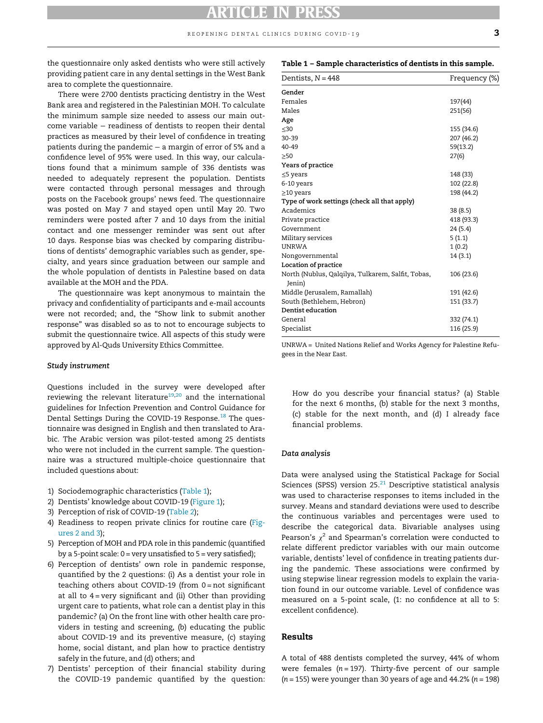<span id="page-2-0"></span>the questionnaire only asked dentists who were still actively providing patient care in any dental settings in the West Bank area to complete the questionnaire.

There were 2700 dentists practicing dentistry in the West Bank area and registered in the Palestinian MOH. To calculate the minimum sample size needed to assess our main outcome variable − readiness of dentists to reopen their dental practices as measured by their level of confidence in treating patients during the pandemic − a margin of error of 5% and a confidence level of 95% were used. In this way, our calculations found that a minimum sample of 336 dentists was needed to adequately represent the population. Dentists were contacted through personal messages and through posts on the Facebook groups' news feed. The questionnaire was posted on May 7 and stayed open until May 20. Two reminders were posted after 7 and 10 days from the initial contact and one messenger reminder was sent out after 10 days. Response bias was checked by comparing distributions of dentists' demographic variables such as gender, specialty, and years since graduation between our sample and the whole population of dentists in Palestine based on data available at the MOH and the PDA.

The questionnaire was kept anonymous to maintain the privacy and confidentiality of participants and e-mail accounts were not recorded; and, the "Show link to submit another response" was disabled so as to not to encourage subjects to submit the questionnaire twice. All aspects of this study were approved by Al-Quds University Ethics Committee.

#### Study instrument

Questions included in the survey were developed after reviewing the relevant literature<sup>[19](#page-8-18),[20](#page-8-19)</sup> and the international guidelines for Infection Prevention and Control Guidance for Dental Settings During the COVID-19 Response.<sup>[18](#page-8-17)</sup> The questionnaire was designed in English and then translated to Arabic. The Arabic version was pilot-tested among 25 dentists who were not included in the current sample. The questionnaire was a structured multiple-choice questionnaire that included questions about:

- 1) Sociodemographic characteristics ([Table 1](#page-2-0));
- 2) Dentists' knowledge about COVID-19 [\(Figure 1\)](#page-3-0);
- 3) Perception of risk of COVID-19 [\(Table 2](#page-4-0));
- 4) Readiness to reopen private clinics for routine care [\(Fig](#page-4-1)[ures 2 and 3](#page-4-1));
- 5) Perception of MOH and PDA role in this pandemic (quantified by a 5-point scale:  $0 = \text{very unsatisfied to } 5 = \text{very satisfied};$
- 6) Perception of dentists' own role in pandemic response, quantified by the 2 questions: (i) As a dentist your role in teaching others about COVID-19 (from 0 = not significant at all to  $4$  = very significant and (ii) Other than providing urgent care to patients, what role can a dentist play in this pandemic? (a) On the front line with other health care providers in testing and screening, (b) educating the public about COVID-19 and its preventive measure, (c) staying home, social distant, and plan how to practice dentistry safely in the future, and (d) others; and
- 7) Dentists' perception of their financial stability during the COVID-19 pandemic quantified by the question:

Table 1 – Sample characteristics of dentists in this sample.

| Dentists, $N = 448$                                         | Frequency (%) |
|-------------------------------------------------------------|---------------|
| Gender                                                      |               |
| Females                                                     | 197(44)       |
| Males                                                       | 251(56)       |
| Age                                                         |               |
| $\leq 30$                                                   | 155 (34.6)    |
| $30 - 39$                                                   | 207 (46.2)    |
| 40-49                                                       | 59(13.2)      |
| >50                                                         | 27(6)         |
| Years of practice                                           |               |
| $\leq$ 5 years                                              | 148 (33)      |
| 6-10 years                                                  | 102 (22.8)    |
| $\geq$ 10 years                                             | 198 (44.2)    |
| Type of work settings (check all that apply)                |               |
| Academics                                                   | 38(8.5)       |
| Private practice                                            | 418 (93.3)    |
| Government                                                  | 24 (5.4)      |
| Military services                                           | 5(1.1)        |
| <b>UNRWA</b>                                                | 1(0.2)        |
| Nongovernmental                                             | 14 (3.1)      |
| Location of practice                                        |               |
| North (Nublus, Qalqilya, Tulkarem, Salfit, Tobas,<br>Jenin) | 106 (23.6)    |
| Middle (Jerusalem, Ramallah)                                | 191 (42.6)    |
| South (Bethlehem, Hebron)                                   | 151 (33.7)    |
| Dentist education                                           |               |
| General                                                     | 332 (74.1)    |
| Specialist                                                  | 116 (25.9)    |
|                                                             |               |

UNRWA = United Nations Relief and Works Agency for Palestine Refugees in the Near East.

How do you describe your financial status? (a) Stable for the next 6 months, (b) stable for the next 3 months, (c) stable for the next month, and (d) I already face financial problems.

#### Data analysis

Data were analysed using the Statistical Package for Social Sciences (SPSS) version  $25.^{21}$  $25.^{21}$  $25.^{21}$  Descriptive statistical analysis was used to characterise responses to items included in the survey. Means and standard deviations were used to describe the continuous variables and percentages were used to describe the categorical data. Bivariable analyses using Pearson's  $\chi^2$  and Spearman's correlation were conducted to relate different predictor variables with our main outcome variable, dentists' level of confidence in treating patients during the pandemic. These associations were confirmed by using stepwise linear regression models to explain the variation found in our outcome variable. Level of confidence was measured on a 5-point scale, (1: no confidence at all to 5: excellent confidence).

### Results

A total of 488 dentists completed the survey, 44% of whom were females ( $n = 197$ ). Thirty-five percent of our sample  $(n = 155)$  were younger than 30 years of age and 44.2%  $(n = 198)$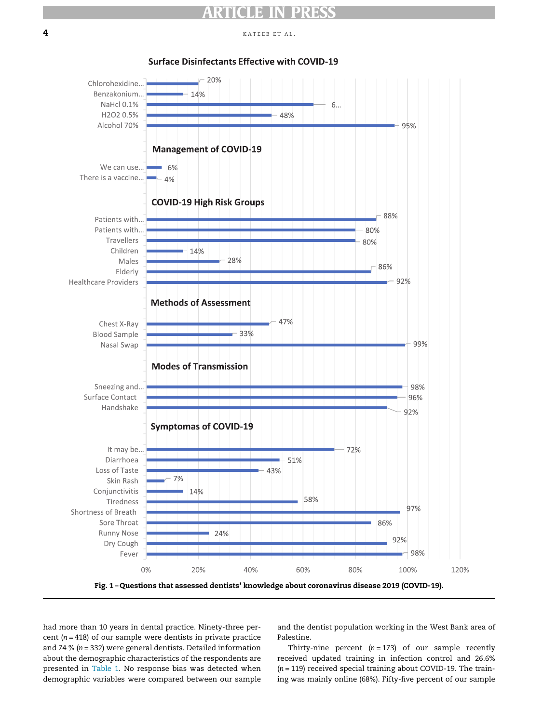#### <span id="page-3-0"></span> $\overline{\mathbf{4}}$  kategories that the set al.



**Surface Disinfectants Effective with COVID-19** 

had more than 10 years in dental practice. Ninety-three percent ( $n = 418$ ) of our sample were dentists in private practice and 74 % ( $n = 332$ ) were general dentists. Detailed information about the demographic characteristics of the respondents are presented in [Table 1](#page-2-0). No response bias was detected when demographic variables were compared between our sample and the dentist population working in the West Bank area of Palestine.

Thirty-nine percent  $(n = 173)$  of our sample recently received updated training in infection control and 26.6%  $(n = 119)$  received special training about COVID-19. The training was mainly online (68%). Fifty-five percent of our sample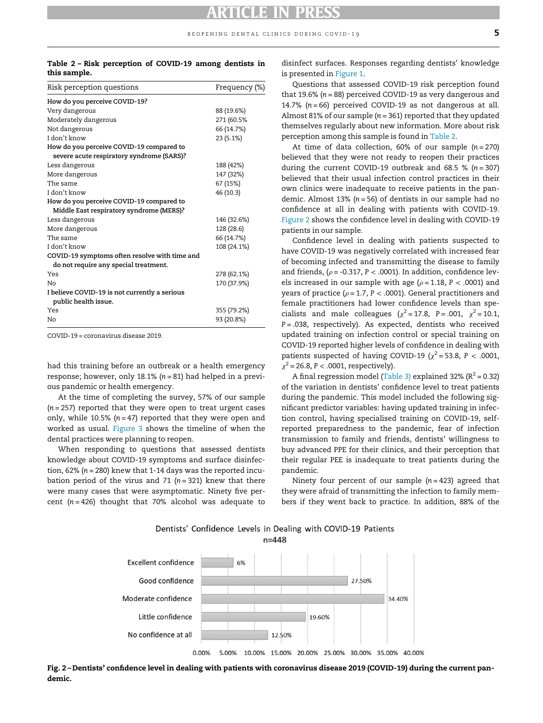#### <span id="page-4-0"></span>Table 2 – Risk perception of COVID-19 among dentists in this sample.

| Risk perception questions                     | Frequency (%) |
|-----------------------------------------------|---------------|
| How do you perceive COVID-19?                 |               |
| Very dangerous                                | 88 (19.6%)    |
| Moderately dangerous                          | 271 (60.5%    |
| Not dangerous                                 | 66 (14.7%)    |
| I don't know                                  | 23 (5.1%)     |
| How do you perceive COVID-19 compared to      |               |
| severe acute respiratory syndrome (SARS)?     |               |
| Less dangerous                                | 188 (42%)     |
| More dangerous                                | 147 (32%)     |
| The same                                      | 67 (15%)      |
| I don't know                                  | 46 (10.3)     |
| How do you perceive COVID-19 compared to      |               |
| Middle East respiratory syndrome (MERS)?      |               |
| Less dangerous                                | 146 (32.6%)   |
| More dangerous                                | 128 (28.6)    |
| The same                                      | 66 (14.7%)    |
| I don't know                                  | 108 (24.1%)   |
| COVID-19 symptoms often resolve with time and |               |
| do not require any special treatment.         |               |
| Yes                                           | 278 (62.1%)   |
| Nο                                            | 170 (37.9%)   |
| I believe COVID-19 is not currently a serious |               |
| public health issue.                          |               |
| Yes                                           | 355 (79.2%)   |
| Nο                                            | 93 (20.8%)    |
|                                               |               |

COVID-19 = coronavirus disease 2019.

had this training before an outbreak or a health emergency response; however, only 18.1%  $(n = 81)$  had helped in a previous pandemic or health emergency.

At the time of completing the survey, 57% of our sample  $(n = 257)$  reported that they were open to treat urgent cases only, while 10.5% ( $n = 47$ ) reported that they were open and worked as usual. [Figure 3](#page-5-0) shows the timeline of when the dental practices were planning to reopen.

<span id="page-4-1"></span>When responding to questions that assessed dentists knowledge about COVID-19 symptoms and surface disinfection, 62% ( $n = 280$ ) knew that 1-14 days was the reported incubation period of the virus and 71 ( $n = 321$ ) knew that there were many cases that were asymptomatic. Ninety five percent ( $n = 426$ ) thought that 70% alcohol was adequate to

disinfect surfaces. Responses regarding dentists' knowledge is presented in [Figure 1](#page-3-0).

Questions that assessed COVID-19 risk perception found that 19.6% ( $n = 88$ ) perceived COVID-19 as very dangerous and 14.7% ( $n = 66$ ) perceived COVID-19 as not dangerous at all. Almost 81% of our sample ( $n = 361$ ) reported that they updated themselves regularly about new information. More about risk perception among this sample is found in [Table 2.](#page-4-0)

At time of data collection,  $60\%$  of our sample  $(n = 270)$ believed that they were not ready to reopen their practices during the current COVID-19 outbreak and 68.5 % ( $n = 307$ ) believed that their usual infection control practices in their own clinics were inadequate to receive patients in the pandemic. Almost 13% ( $n = 56$ ) of dentists in our sample had no confidence at all in dealing with patients with COVID-19. [Figure 2](#page-4-1) shows the confidence level in dealing with COVID-19 patients in our sample.

Confidence level in dealing with patients suspected to have COVID-19 was negatively correlated with increased fear of becoming infected and transmitting the disease to family and friends, ( $\rho$  = -0.317, P < .0001). In addition, confidence levels increased in our sample with age ( $\rho$  = 1.18, P < .0001) and years of practice ( $\rho$  = 1.7, P < .0001). General practitioners and female practitioners had lower confidence levels than specialists and male colleagues ( $\chi^2$  = 17.8, P = .001,  $\chi^2$  = 10.1,  $P = .038$ , respectively). As expected, dentists who received updated training on infection control or special training on COVID-19 reported higher levels of confidence in dealing with patients suspected of having COVID-19 ( $\chi^2$  = 53.8, P < .0001,  $\chi^2$  = 26.8, P < .0001, respectively).

A final regression model [\(Table 3\)](#page-5-1) explained 32% ( $R^2$  = 0.32) of the variation in dentists' confidence level to treat patients during the pandemic. This model included the following significant predictor variables: having updated training in infection control, having specialised training on COVID-19, selfreported preparedness to the pandemic, fear of infection transmission to family and friends, dentists' willingness to buy advanced PPE for their clinics, and their perception that their regular PEE is inadequate to treat patients during the pandemic.

Ninety four percent of our sample  $(n = 423)$  agreed that they were afraid of transmitting the infection to family members if they went back to practice. In addition, 88% of the

Dentists' Confidence Levels in Dealing with COVID-19 Patients  $n = 448$ 



Fig. 2 – Dentists' confidence level in dealing with patients with coronavirus disease 2019 (COVID-19) during the current pandemic.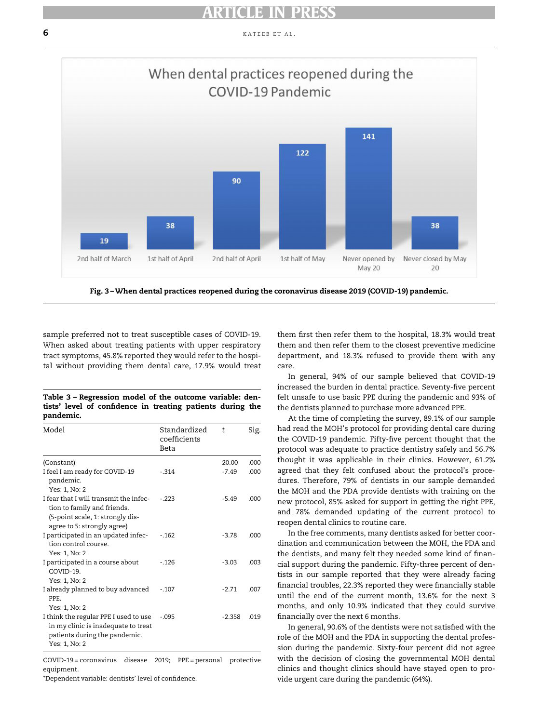<span id="page-5-0"></span> $\overline{6}$  kategories and  $\overline{6}$  kategories and  $\overline{6}$  kategories and  $\overline{6}$  kategories and  $\overline{6}$  kategories and  $\overline{6}$  kategories and  $\overline{6}$  kategories and  $\overline{6}$  kategories and  $\overline{6}$  kategories and  $\overline{$ 



Fig. 3 –When dental practices reopened during the coronavirus disease 2019 (COVID-19) pandemic.

sample preferred not to treat susceptible cases of COVID-19. When asked about treating patients with upper respiratory tract symptoms, 45.8% reported they would refer to the hospital without providing them dental care, 17.9% would treat

<span id="page-5-1"></span>

|           |  | Table 3 - Regression model of the outcome variable: den-   |  |  |  |
|-----------|--|------------------------------------------------------------|--|--|--|
|           |  | tists' level of confidence in treating patients during the |  |  |  |
| pandemic. |  |                                                            |  |  |  |

| Model                                                                                                                                    | Standardized<br>coefficients<br>Beta | t        | Sig. |
|------------------------------------------------------------------------------------------------------------------------------------------|--------------------------------------|----------|------|
| (Constant)                                                                                                                               |                                      | 20.00    | .000 |
| I feel I am ready for COVID-19<br>pandemic.<br>Yes: 1, No: 2                                                                             | $-314$                               | $-7.49$  | .000 |
| I fear that I will transmit the infec-<br>tion to family and friends.<br>(5-point scale, 1: strongly dis-<br>agree to 5: strongly agree) | $-223$                               | $-5.49$  | .000 |
| I participated in an updated infec-<br>tion control course.<br>Yes: 1, No: 2                                                             | $-162$                               | $-3.78$  | .000 |
| I participated in a course about<br>COVID-19.<br>Yes: 1, No: 2                                                                           | $-.126$                              | $-3.03$  | .003 |
| I already planned to buy advanced<br>PPE.<br>Yes: 1, No: 2                                                                               | $-.107$                              | $-2.71$  | .007 |
| I think the regular PPE I used to use<br>in my clinic is inadequate to treat<br>patients during the pandemic.<br>Yes: 1, No: 2           | $-.095$                              | $-2.358$ | .019 |

COVID-19 = coronavirus disease 2019; PPE = personal protective equipment.

\*Dependent variable: dentists' level of confidence.

them first then refer them to the hospital, 18.3% would treat them and then refer them to the closest preventive medicine department, and 18.3% refused to provide them with any care.

In general, 94% of our sample believed that COVID-19 increased the burden in dental practice. Seventy-five percent felt unsafe to use basic PPE during the pandemic and 93% of the dentists planned to purchase more advanced PPE.

At the time of completing the survey, 89.1% of our sample had read the MOH's protocol for providing dental care during the COVID-19 pandemic. Fifty-five percent thought that the protocol was adequate to practice dentistry safely and 56.7% thought it was applicable in their clinics. However, 61.2% agreed that they felt confused about the protocol's procedures. Therefore, 79% of dentists in our sample demanded the MOH and the PDA provide dentists with training on the new protocol, 85% asked for support in getting the right PPE, and 78% demanded updating of the current protocol to reopen dental clinics to routine care.

In the free comments, many dentists asked for better coordination and communication between the MOH, the PDA and the dentists, and many felt they needed some kind of financial support during the pandemic. Fifty-three percent of dentists in our sample reported that they were already facing financial troubles, 22.3% reported they were financially stable until the end of the current month, 13.6% for the next 3 months, and only 10.9% indicated that they could survive financially over the next 6 months.

In general, 90.6% of the dentists were not satisfied with the role of the MOH and the PDA in supporting the dental profession during the pandemic. Sixty-four percent did not agree with the decision of closing the governmental MOH dental clinics and thought clinics should have stayed open to provide urgent care during the pandemic (64%).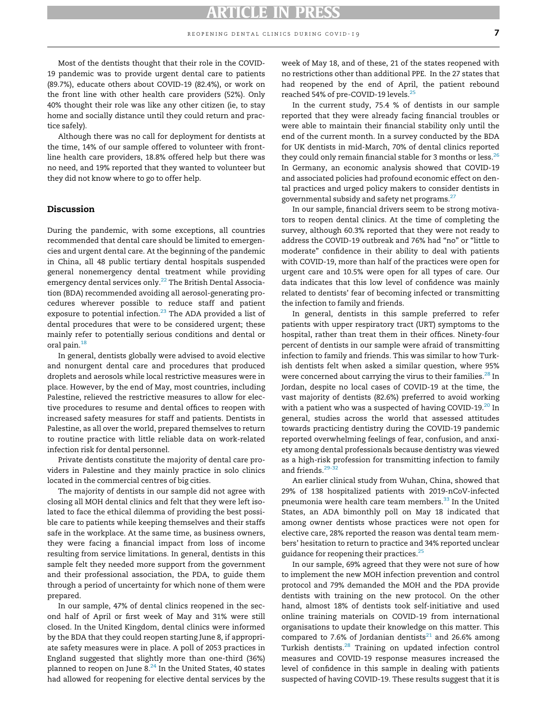Most of the dentists thought that their role in the COVID-19 pandemic was to provide urgent dental care to patients (89.7%), educate others about COVID-19 (82.4%), or work on the front line with other health care providers (52%). Only 40% thought their role was like any other citizen (ie, to stay home and socially distance until they could return and practice safely).

Although there was no call for deployment for dentists at the time, 14% of our sample offered to volunteer with frontline health care providers, 18.8% offered help but there was no need, and 19% reported that they wanted to volunteer but they did not know where to go to offer help.

### Discussion

During the pandemic, with some exceptions, all countries recommended that dental care should be limited to emergencies and urgent dental care. At the beginning of the pandemic in China, all 48 public tertiary dental hospitals suspended general nonemergency dental treatment while providing emergency dental services only.<sup>[22](#page-8-21)</sup> The British Dental Association (BDA) recommended avoiding all aerosol-generating procedures wherever possible to reduce staff and patient exposure to potential infection.<sup>[23](#page-8-22)</sup> The ADA provided a list of dental procedures that were to be considered urgent; these mainly refer to potentially serious conditions and dental or oral pain.[18](#page-8-17)

In general, dentists globally were advised to avoid elective and nonurgent dental care and procedures that produced droplets and aerosols while local restrictive measures were in place. However, by the end of May, most countries, including Palestine, relieved the restrictive measures to allow for elective procedures to resume and dental offices to reopen with increased safety measures for staff and patients. Dentists in Palestine, as all over the world, prepared themselves to return to routine practice with little reliable data on work-related infection risk for dental personnel.

Private dentists constitute the majority of dental care providers in Palestine and they mainly practice in solo clinics located in the commercial centres of big cities.

The majority of dentists in our sample did not agree with closing all MOH dental clinics and felt that they were left isolated to face the ethical dilemma of providing the best possible care to patients while keeping themselves and their staffs safe in the workplace. At the same time, as business owners, they were facing a financial impact from loss of income resulting from service limitations. In general, dentists in this sample felt they needed more support from the government and their professional association, the PDA, to guide them through a period of uncertainty for which none of them were prepared.

In our sample, 47% of dental clinics reopened in the second half of April or first week of May and 31% were still closed. In the United Kingdom, dental clinics were informed by the BDA that they could reopen starting June 8, if appropriate safety measures were in place. A poll of 2053 practices in England suggested that slightly more than one-third (36%) planned to reopen on June 8. $^{24}$  $^{24}$  $^{24}$  In the United States, 40 states had allowed for reopening for elective dental services by the week of May 18, and of these, 21 of the states reopened with no restrictions other than additional PPE. In the 27 states that had reopened by the end of April, the patient rebound reached 54% of pre-COVID-19 levels.<sup>[25](#page-8-24)</sup>

In the current study, 75.4 % of dentists in our sample reported that they were already facing financial troubles or were able to maintain their financial stability only until the end of the current month. In a survey conducted by the BDA for UK dentists in mid-March, 70% of dental clinics reported they could only remain financial stable for 3 months or less.  $^{26}$  $^{26}$  $^{26}$ In Germany, an economic analysis showed that COVID-19 and associated policies had profound economic effect on dental practices and urged policy makers to consider dentists in governmental subsidy and safety net programs. $^{27}$  $^{27}$  $^{27}$ 

In our sample, financial drivers seem to be strong motivators to reopen dental clinics. At the time of completing the survey, although 60.3% reported that they were not ready to address the COVID-19 outbreak and 76% had "no" or "little to moderate" confidence in their ability to deal with patients with COVID-19, more than half of the practices were open for urgent care and 10.5% were open for all types of care. Our data indicates that this low level of confidence was mainly related to dentists' fear of becoming infected or transmitting the infection to family and friends.

In general, dentists in this sample preferred to refer patients with upper respiratory tract (URT) symptoms to the hospital, rather than treat them in their offices. Ninety-four percent of dentists in our sample were afraid of transmitting infection to family and friends. This was similar to how Turkish dentists felt when asked a similar question, where 95% were concerned about carrying the virus to their families.<sup>[28](#page-9-0)</sup> In Jordan, despite no local cases of COVID-19 at the time, the vast majority of dentists (82.6%) preferred to avoid working with a patient who was a suspected of having COVID-19. $^{20}$  $^{20}$  $^{20}$  In general, studies across the world that assessed attitudes towards practicing dentistry during the COVID-19 pandemic reported overwhelming feelings of fear, confusion, and anxiety among dental professionals because dentistry was viewed as a high-risk profession for transmitting infection to family and friends.<sup>29-3</sup>

An earlier clinical study from Wuhan, China, showed that 29% of 138 hospitalized patients with 2019-nCoV-infected pneumonia were health care team members.<sup>[33](#page-9-2)</sup> In the United States, an ADA bimonthly poll on May 18 indicated that among owner dentists whose practices were not open for elective care, 28% reported the reason was dental team members' hesitation to return to practice and 34% reported unclear guidance for reopening their practices.<sup>[25](#page-8-24)</sup>

In our sample, 69% agreed that they were not sure of how to implement the new MOH infection prevention and control protocol and 79% demanded the MOH and the PDA provide dentists with training on the new protocol. On the other hand, almost 18% of dentists took self-initiative and used online training materials on COVID-19 from international organisations to update their knowledge on this matter. This compared to 7.6% of Jordanian dentists<sup>[21](#page-8-20)</sup> and 26.6% among Turkish dentists.[28](#page-9-0) Training on updated infection control measures and COVID-19 response measures increased the level of confidence in this sample in dealing with patients suspected of having COVID-19. These results suggest that it is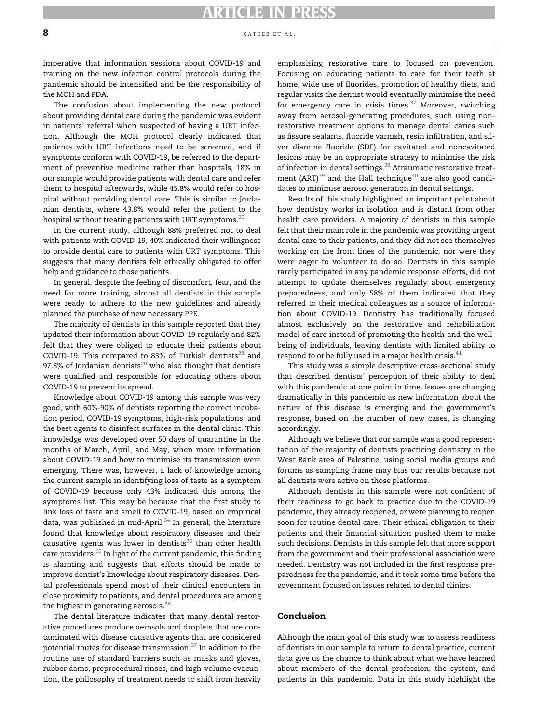#### 8 kateeb et al.

imperative that information sessions about COVID-19 and training on the new infection control protocols during the pandemic should be intensified and be the responsibility of the MOH and PDA.

The confusion about implementing the new protocol about providing dental care during the pandemic was evident in patients' referral when suspected of having a URT infection. Although the MOH protocol clearly indicated that patients with URT infections need to be screened, and if symptoms conform with COVID-19, be referred to the department of preventive medicine rather than hospitals, 18% in our sample would provide patients with dental care and refer them to hospital afterwards, while 45.8% would refer to hospital without providing dental care. This is similar to Jordanian dentists, where 43.8% would refer the patient to the hospital without treating patients with URT symptoms.<sup>[20](#page-8-19)</sup>

In the current study, although 88% preferred not to deal with patients with COVID-19, 40% indicated their willingness to provide dental care to patients with URT symptoms. This suggests that many dentists felt ethically obligated to offer help and guidance to those patients.

In general, despite the feeling of discomfort, fear, and the need for more training, almost all dentists in this sample were ready to adhere to the new guidelines and already planned the purchase of new necessary PPE.

The majority of dentists in this sample reported that they updated their information about COVID-19 regularly and 82% felt that they were obliged to educate their patients about COVID-19. This compared to 83% of Turkish dentists<sup>[28](#page-9-0)</sup> and 97.8% of Jordanian dentists<sup>[20](#page-8-19)</sup> who also thought that dentists were qualified and responsible for educating others about COVID-19 to prevent its spread.

Knowledge about COVID-19 among this sample was very good, with 60%-90% of dentists reporting the correct incubation period, COVID-19 symptoms, high-risk populations, and the best agents to disinfect surfaces in the dental clinic. This knowledge was developed over 50 days of quarantine in the months of March, April, and May, when more information about COVID-19 and how to minimise its transmission were emerging. There was, however, a lack of knowledge among the current sample in identifying loss of taste as a symptom of COVID-19 because only 43% indicated this among the symptoms list. This may be because that the first study to link loss of taste and smell to COVID-19, based on empirical data, was published in mid-April. $34$  In general, the literature found that knowledge about respiratory diseases and their causative agents was lower in dentists $35$  than other health care providers.<sup>[19](#page-8-18)</sup> In light of the current pandemic, this finding is alarming and suggests that efforts should be made to improve dentist's knowledge about respiratory diseases. Dental professionals spend most of their clinical encounters in close proximity to patients, and dental procedures are among the highest in generating aerosols. $36$ 

The dental literature indicates that many dental restorative procedures produce aerosols and droplets that are contaminated with disease causative agents that are considered potential routes for disease transmission.<sup>[37](#page-9-6)</sup> In addition to the routine use of standard barriers such as masks and gloves, rubber dams, preprocedural rinses, and high-volume evacuation, the philosophy of treatment needs to shift from heavily emphasising restorative care to focused on prevention. Focusing on educating patients to care for their teeth at home, wide use of fluorides, promotion of healthy diets, and regular visits the dentist would eventually minimise the need for emergency care in crisis times.[37](#page-9-6) Moreover, switching away from aerosol-generating procedures, such using nonrestorative treatment options to manage dental caries such as fissure sealants, fluoride varnish, resin infiltration, and silver diamine fluoride (SDF) for cavitated and noncavitated lesions may be an appropriate strategy to minimise the risk of infection in dental settings.<sup>[38](#page-9-7)</sup> Atraumatic restorative treatment (ART) $^{39}$  $^{39}$  $^{39}$  and the Hall technique<sup>[40](#page-9-9)</sup> are also good candidates to minimise aerosol generation in dental settings.

Results of this study highlighted an important point about how dentistry works in isolation and is distant from other health care providers. A majority of dentists in this sample felt that their main role in the pandemic was providing urgent dental care to their patients, and they did not see themselves working on the front lines of the pandemic, nor were they were eager to volunteer to do so. Dentists in this sample rarely participated in any pandemic response efforts, did not attempt to update themselves regularly about emergency preparedness, and only 58% of them indicated that they referred to their medical colleagues as a source of information about COVID-19. Dentistry has traditionally focused almost exclusively on the restorative and rehabilitation model of care instead of promoting the health and the wellbeing of individuals, leaving dentists with limited ability to respond to or be fully used in a major health crisis. $41$ 

This study was a simple descriptive cross-sectional study that described dentists' perception of their ability to deal with this pandemic at one point in time. Issues are changing dramatically in this pandemic as new information about the nature of this disease is emerging and the government's response, based on the number of new cases, is changing accordingly.

Although we believe that our sample was a good representation of the majority of dentists practicing dentistry in the West Bank area of Palestine, using social media groups and forums as sampling frame may bias our results because not all dentists were active on those platforms.

Although dentists in this sample were not confident of their readiness to go back to practice due to the COVID-19 pandemic, they already reopened, or were planning to reopen soon for routine dental care. Their ethical obligation to their patients and their financial situation pushed them to make such decisions. Dentists in this sample felt that more support from the government and their professional association were needed. Dentistry was not included in the first response preparedness for the pandemic, and it took some time before the government focused on issues related to dental clinics.

#### Conclusion

Although the main goal of this study was to assess readiness of dentists in our sample to return to dental practice, current data give us the chance to think about what we have learned about members of the dental profession, the system, and patients in this pandemic. Data in this study highlight the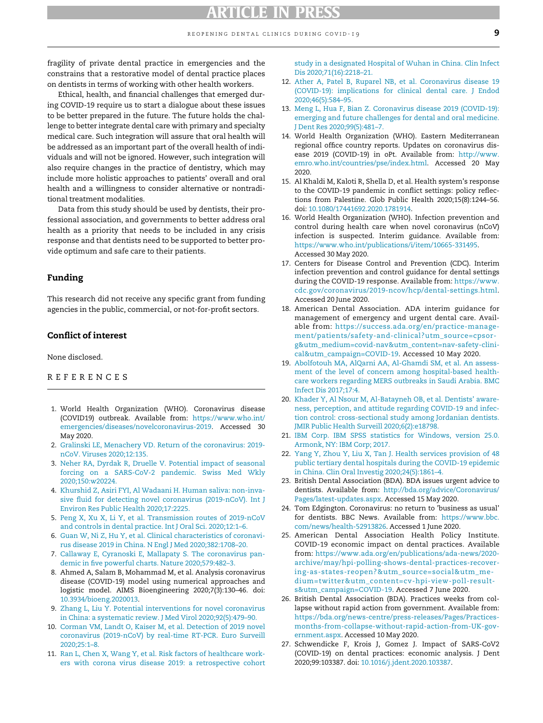fragility of private dental practice in emergencies and the constrains that a restorative model of dental practice places on dentists in terms of working with other health workers.

<span id="page-8-13"></span><span id="page-8-12"></span><span id="page-8-11"></span>Ethical, health, and financial challenges that emerged during COVID-19 require us to start a dialogue about these issues to be better prepared in the future. The future holds the challenge to better integrate dental care with primary and specialty medical care. Such integration will assure that oral health will be addressed as an important part of the overall health of individuals and will not be ignored. However, such integration will also require changes in the practice of dentistry, which may include more holistic approaches to patients' overall and oral health and a willingness to consider alternative or nontraditional treatment modalities.

<span id="page-8-15"></span><span id="page-8-14"></span>Data from this study should be used by dentists, their professional association, and governments to better address oral health as a priority that needs to be included in any crisis response and that dentists need to be supported to better provide optimum and safe care to their patients.

#### <span id="page-8-16"></span>Funding

<span id="page-8-17"></span>This research did not receive any specific grant from funding agencies in the public, commercial, or not-for-profit sectors.

### Conflict of interest

<span id="page-8-18"></span>None disclosed.

#### REFERENCES

- <span id="page-8-19"></span><span id="page-8-0"></span>1. World Health Organization (WHO). Coronavirus disease (COVID19) outbreak. Available from: [https://www.who.int/](https://www.who.int/emergencies/diseases/novelcoronavirus-2019) [emergencies/diseases/novelcoronavirus-2019](https://www.who.int/emergencies/diseases/novelcoronavirus-2019). Accessed 30 May 2020.
- <span id="page-8-21"></span><span id="page-8-20"></span><span id="page-8-1"></span>2. [Gralinski LE, Menachery VD. Return of the coronavirus: 2019](http://refhub.elsevier.com/S0020-6539(21)00036-8/sbref0002) [nCoV. Viruses 2020;12:135.](http://refhub.elsevier.com/S0020-6539(21)00036-8/sbref0002)
- <span id="page-8-2"></span>3. [Neher RA, Dyrdak R, Druelle V. Potential impact of seasonal](http://refhub.elsevier.com/S0020-6539(21)00036-8/sbref0003) [forcing on a SARS-CoV-2 pandemic. Swiss Med Wkly](http://refhub.elsevier.com/S0020-6539(21)00036-8/sbref0003) [2020;150:w20224.](http://refhub.elsevier.com/S0020-6539(21)00036-8/sbref0003)
- <span id="page-8-22"></span><span id="page-8-3"></span>4. [Khurshid Z, Asiri FYI, Al Wadaani H. Human saliva: non-inva](http://refhub.elsevier.com/S0020-6539(21)00036-8/sbref0004)[sive fluid for detecting novel coronavirus \(2019-nCoV\). Int J](http://refhub.elsevier.com/S0020-6539(21)00036-8/sbref0004) [Environ Res Public Health 2020;17:2225.](http://refhub.elsevier.com/S0020-6539(21)00036-8/sbref0004)
- <span id="page-8-23"></span><span id="page-8-4"></span>5. [Peng X, Xu X, Li Y, et al. Transmission routes of 2019-nCoV](http://refhub.elsevier.com/S0020-6539(21)00036-8/sbref0005) [and controls in dental practice. Int J Oral Sci. 2020;12:1–6.](http://refhub.elsevier.com/S0020-6539(21)00036-8/sbref0005)
- <span id="page-8-24"></span><span id="page-8-5"></span>6. [Guan W, Ni Z, Hu Y, et al. Clinical characteristics of coronavi](http://refhub.elsevier.com/S0020-6539(21)00036-8/sbref0006)[rus disease 2019 in China. N Engl J Med 2020;382:1708–20.](http://refhub.elsevier.com/S0020-6539(21)00036-8/sbref0006)
- <span id="page-8-6"></span>7. [Callaway E, Cyranoski E, Mallapaty S. The coronavirus pan](http://refhub.elsevier.com/S0020-6539(21)00036-8/sbref0007)[demic in five powerful charts. Nature 2020;579:482–3.](http://refhub.elsevier.com/S0020-6539(21)00036-8/sbref0007)
- <span id="page-8-7"></span>8. Ahmed A, Salam B, Mohammad M, et al. Analysis coronavirus disease (COVID-19) model using numerical approaches and logistic model. AIMS Bioengineering 2020;7(3):130–46. doi: [10.3934/bioeng.2020013.](https://doi.org/10.3934/bioeng.2020013)
- <span id="page-8-25"></span><span id="page-8-8"></span>9. [Zhang L, Liu Y. Potential interventions for novel coronavirus](http://refhub.elsevier.com/S0020-6539(21)00036-8/sbref0009) [in China: a systematic review. J Med Virol 2020;92\(5\):479–90.](http://refhub.elsevier.com/S0020-6539(21)00036-8/sbref0009)
- <span id="page-8-9"></span>10. [Corman VM, Landt O, Kaiser M, et al. Detection of 2019 novel](http://refhub.elsevier.com/S0020-6539(21)00036-8/sbref0010) [coronavirus \(2019-nCoV\) by real-time RT-PCR. Euro Surveill](http://refhub.elsevier.com/S0020-6539(21)00036-8/sbref0010) [2020;25:1–8.](http://refhub.elsevier.com/S0020-6539(21)00036-8/sbref0010)
- <span id="page-8-26"></span><span id="page-8-10"></span>11. [Ran L, Chen X, Wang Y, et al. Risk factors of healthcare work](http://refhub.elsevier.com/S0020-6539(21)00036-8/sbref0011)[ers with corona virus disease 2019: a retrospective cohort](http://refhub.elsevier.com/S0020-6539(21)00036-8/sbref0011)

[study in a designated Hospital of Wuhan in China. Clin Infect](http://refhub.elsevier.com/S0020-6539(21)00036-8/sbref0011) [Dis 2020;71\(16\):2218–21.](http://refhub.elsevier.com/S0020-6539(21)00036-8/sbref0011)

- 12. [Ather A, Patel B, Ruparel NB, et al. Coronavirus disease 19](http://refhub.elsevier.com/S0020-6539(21)00036-8/sbref0012) [\(COVID-19\): implications for clinical dental care. J Endod](http://refhub.elsevier.com/S0020-6539(21)00036-8/sbref0012) [2020;46\(5\):584–95.](http://refhub.elsevier.com/S0020-6539(21)00036-8/sbref0012)
- 13. [Meng L, Hua F, Bian Z. Coronavirus disease 2019 \(COVID-19\):](http://refhub.elsevier.com/S0020-6539(21)00036-8/sbref0013) [emerging and future challenges for dental and oral medicine.](http://refhub.elsevier.com/S0020-6539(21)00036-8/sbref0013) [J Dent Res 2020;99\(5\):481–7.](http://refhub.elsevier.com/S0020-6539(21)00036-8/sbref0013)
- 14. World Health Organization (WHO). Eastern Mediterranean regional office country reports. Updates on coronavirus disease 2019 (COVID-19) in oPt. Available from: [http://www.](http://www.emro.who.int/countries/pse/index.html) [emro.who.int/countries/pse/index.html](http://www.emro.who.int/countries/pse/index.html). Accessed 20 May 2020.
- 15. Al Khaldi M, Kaloti R, Shella D, et al. Health system's response to the COVID-19 pandemic in conflict settings: policy reflections from Palestine. Glob Public Health 2020;15(8):1244–56. doi: [10.1080/17441692.2020.1781914.](https://doi.org/10.1080/17441692.2020.1781914)
- 16. World Health Organization (WHO). Infection prevention and control during health care when novel coronavirus (nCoV) infection is suspected. Interim guidance. Available from: [https://www.who.int/publications/i/item/10665-331495.](https://www.who.int/publications/i/item/10665-331495) Accessed 30 May 2020.
- 17. Centers for Disease Control and Prevention (CDC). Interim infection prevention and control guidance for dental settings during the COVID-19 response. Available from: [https://www.](https://www.cdc.gov/coronavirus/2019-ncov/hcp/dental-settings.html) [cdc.gov/coronavirus/2019-ncov/hcp/dental-settings.html.](https://www.cdc.gov/coronavirus/2019-ncov/hcp/dental-settings.html) Accessed 20 June 2020.
- 18. American Dental Association. ADA interim guidance for management of emergency and urgent dental care. Available from: [https://success.ada.org/en/practice-manage](https://success.ada.org/en/practice-management/patients/safety-and-clinical?utm_source=cpsorg&utm_medium=covid-nav&utm_content=nav-safety-clinical&utm_campaign=COVID-19)[ment/patients/safety-and-clinical?utm\\_source=cpsor](https://success.ada.org/en/practice-management/patients/safety-and-clinical?utm_source=cpsorg&utm_medium=covid-nav&utm_content=nav-safety-clinical&utm_campaign=COVID-19)[g&utm\\_medium=covid-nav&utm\\_content=nav-safety-clini](https://success.ada.org/en/practice-management/patients/safety-and-clinical?utm_source=cpsorg&utm_medium=covid-nav&utm_content=nav-safety-clinical&utm_campaign=COVID-19)[cal&utm\\_campaign=COVID-19](https://success.ada.org/en/practice-management/patients/safety-and-clinical?utm_source=cpsorg&utm_medium=covid-nav&utm_content=nav-safety-clinical&utm_campaign=COVID-19). Accessed 10 May 2020.
- 19. [Abolfotouh MA, AlQarni AA, Al-Ghamdi SM, et al. An assess](http://refhub.elsevier.com/S0020-6539(21)00036-8/sbref0019)[ment of the level of concern among hospital-based health](http://refhub.elsevier.com/S0020-6539(21)00036-8/sbref0019)[care workers regarding MERS outbreaks in Saudi Arabia. BMC](http://refhub.elsevier.com/S0020-6539(21)00036-8/sbref0019) [Infect Dis 2017;17:4.](http://refhub.elsevier.com/S0020-6539(21)00036-8/sbref0019)
- 20. [Khader Y, Al Nsour M, Al-Batayneh OB, et al. Dentists' aware](http://refhub.elsevier.com/S0020-6539(21)00036-8/sbref0020)[ness, perception, and attitude regarding COVID-19 and infec](http://refhub.elsevier.com/S0020-6539(21)00036-8/sbref0020)[tion control: cross-sectional study among Jordanian dentists.](http://refhub.elsevier.com/S0020-6539(21)00036-8/sbref0020) [JMIR Public Health Surveill 2020;6\(2\):e18798.](http://refhub.elsevier.com/S0020-6539(21)00036-8/sbref0020)
- 21. [IBM Corp. IBM SPSS statistics for Windows, version 25.0.](http://refhub.elsevier.com/S0020-6539(21)00036-8/sbref0021) [Armonk, NY: IBM Corp; 2017.](http://refhub.elsevier.com/S0020-6539(21)00036-8/sbref0021)
- 22. [Yang Y, Zhou Y, Liu X, Tan J. Health services provision of 48](http://refhub.elsevier.com/S0020-6539(21)00036-8/sbref0022) [public tertiary dental hospitals during the COVID-19 epidemic](http://refhub.elsevier.com/S0020-6539(21)00036-8/sbref0022) [in China. Clin Oral Investig 2020;24\(5\):1861–4.](http://refhub.elsevier.com/S0020-6539(21)00036-8/sbref0022)
- 23. British Dental Association (BDA). BDA issues urgent advice to dentists. Available from: [http://bda.org/advice/Coronavirus/](http://bda.org/advice/Coronavirus/Pages/latest-updates.aspx) [Pages/latest-updates.aspx](http://bda.org/advice/Coronavirus/Pages/latest-updates.aspx). Accessed 15 May 2020.
- 24. Tom Edgington. Coronavirus: no return to 'business as usual' for dentists. BBC News. Available from: [https://www.bbc.](https://www.bbc.com/news/health-52913826) [com/news/health-52913826.](https://www.bbc.com/news/health-52913826) Accessed 1 June 2020.
- 25. American Dental Association Health Policy Institute. COVID-19 economic impact on dental practices. Available from: [https://www.ada.org/en/publications/ada-news/2020](https://www.ada.org/en/publications/ada-news/2020-archive/may/hpi-polling-shows-dental-practices-recovering-as-states-reopen?&utm_source=social&utm_medium=twitter&utm_content=cv-hpi-view-poll-results&utm_campaign=COVID-19) [archive/may/hpi-polling-shows-dental-practices-recover](https://www.ada.org/en/publications/ada-news/2020-archive/may/hpi-polling-shows-dental-practices-recovering-as-states-reopen?&utm_source=social&utm_medium=twitter&utm_content=cv-hpi-view-poll-results&utm_campaign=COVID-19)[ing-as-states-reopen?&utm\\_source=social&utm\\_me](https://www.ada.org/en/publications/ada-news/2020-archive/may/hpi-polling-shows-dental-practices-recovering-as-states-reopen?&utm_source=social&utm_medium=twitter&utm_content=cv-hpi-view-poll-results&utm_campaign=COVID-19)[dium=twitter&utm\\_content=cv-hpi-view-poll-result](https://www.ada.org/en/publications/ada-news/2020-archive/may/hpi-polling-shows-dental-practices-recovering-as-states-reopen?&utm_source=social&utm_medium=twitter&utm_content=cv-hpi-view-poll-results&utm_campaign=COVID-19)[s&utm\\_campaign=COVID-19](https://www.ada.org/en/publications/ada-news/2020-archive/may/hpi-polling-shows-dental-practices-recovering-as-states-reopen?&utm_source=social&utm_medium=twitter&utm_content=cv-hpi-view-poll-results&utm_campaign=COVID-19). Accessed 7 June 2020.
- 26. British Dental Association (BDA). Practices weeks from collapse without rapid action from government. Available from: [https://bda.org/news-centre/press-releases/Pages/Practices](https://bda.org/news-centre/press-releases/Pages/Practices-months-from-collapse-without-rapid-action-from-UK-government.aspx)[months-from-collapse-without-rapid-action-from-UK-gov](https://bda.org/news-centre/press-releases/Pages/Practices-months-from-collapse-without-rapid-action-from-UK-government.aspx)[ernment.aspx](https://bda.org/news-centre/press-releases/Pages/Practices-months-from-collapse-without-rapid-action-from-UK-government.aspx). Accessed 10 May 2020.
- 27. Schwendicke F, Krois J, Gomez J. Impact of SARS-CoV2 (COVID-19) on dental practices: economic analysis. J Dent 2020;99:103387. doi: [10.1016/j.jdent.2020.103387.](https://doi.org/10.1016/j.jdent.2020.103387)